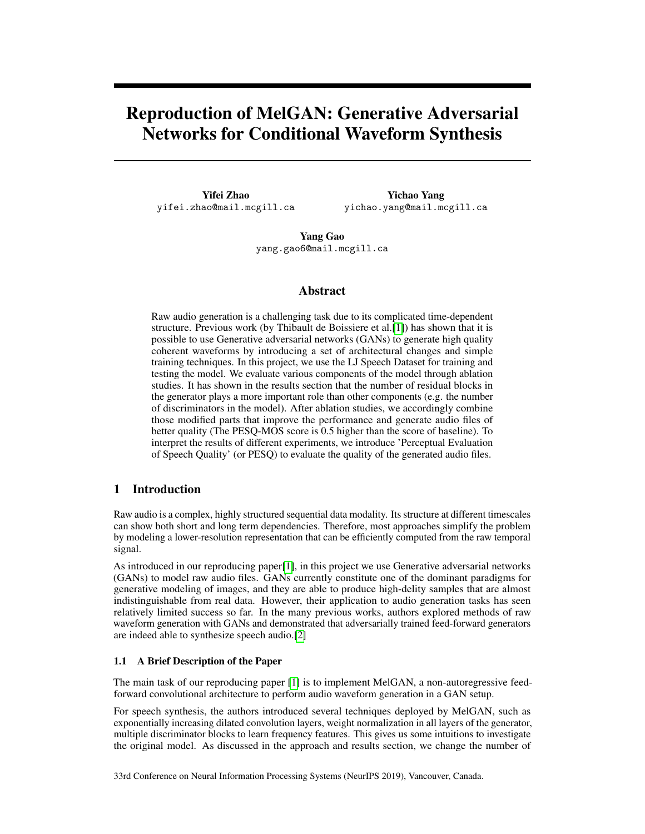# Reproduction of MelGAN: Generative Adversarial Networks for Conditional Waveform Synthesis

Yifei Zhao yifei.zhao@mail.mcgill.ca

Yichao Yang yichao.yang@mail.mcgill.ca

Yang Gao yang.gao6@mail.mcgill.ca

# Abstract

Raw audio generation is a challenging task due to its complicated time-dependent structure. Previous work (by Thibault de Boissiere et al.[\[1\]](#page-8-0)) has shown that it is possible to use Generative adversarial networks (GANs) to generate high quality coherent waveforms by introducing a set of architectural changes and simple training techniques. In this project, we use the LJ Speech Dataset for training and testing the model. We evaluate various components of the model through ablation studies. It has shown in the results section that the number of residual blocks in the generator plays a more important role than other components (e.g. the number of discriminators in the model). After ablation studies, we accordingly combine those modified parts that improve the performance and generate audio files of better quality (The PESQ-MOS score is 0.5 higher than the score of baseline). To interpret the results of different experiments, we introduce 'Perceptual Evaluation of Speech Quality' (or PESQ) to evaluate the quality of the generated audio files.

# 1 Introduction

Raw audio is a complex, highly structured sequential data modality. Its structure at different timescales can show both short and long term dependencies. Therefore, most approaches simplify the problem by modeling a lower-resolution representation that can be efficiently computed from the raw temporal signal.

As introduced in our reproducing paper[\[1\]](#page-8-0), in this project we use Generative adversarial networks (GANs) to model raw audio files. GANs currently constitute one of the dominant paradigms for generative modeling of images, and they are able to produce high-delity samples that are almost indistinguishable from real data. However, their application to audio generation tasks has seen relatively limited success so far. In the many previous works, authors explored methods of raw waveform generation with GANs and demonstrated that adversarially trained feed-forward generators are indeed able to synthesize speech audio.[\[2\]](#page-8-1)

### 1.1 A Brief Description of the Paper

The main task of our reproducing paper [\[1\]](#page-8-0) is to implement MelGAN, a non-autoregressive feedforward convolutional architecture to perform audio waveform generation in a GAN setup.

For speech synthesis, the authors introduced several techniques deployed by MelGAN, such as exponentially increasing dilated convolution layers, weight normalization in all layers of the generator, multiple discriminator blocks to learn frequency features. This gives us some intuitions to investigate the original model. As discussed in the approach and results section, we change the number of

33rd Conference on Neural Information Processing Systems (NeurIPS 2019), Vancouver, Canada.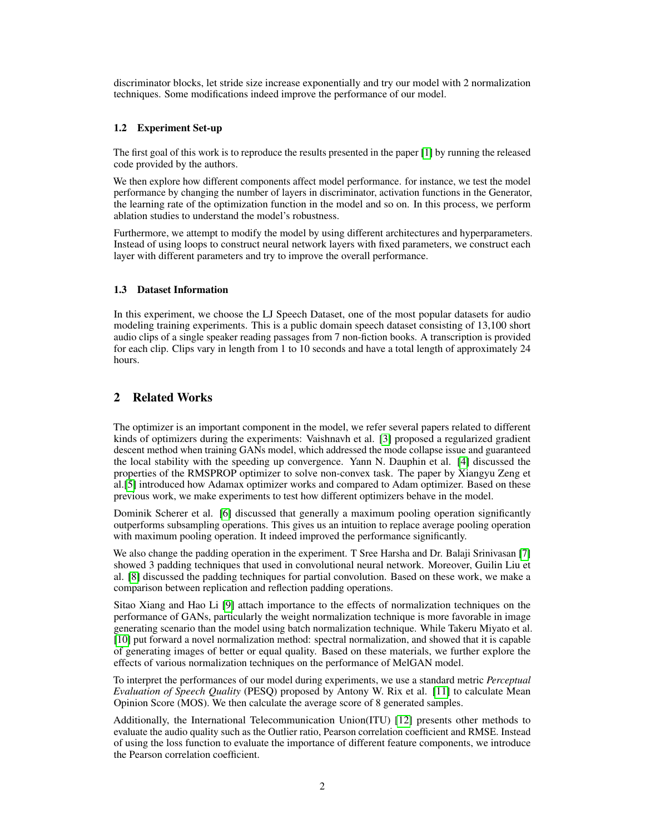discriminator blocks, let stride size increase exponentially and try our model with 2 normalization techniques. Some modifications indeed improve the performance of our model.

### 1.2 Experiment Set-up

The first goal of this work is to reproduce the results presented in the paper [\[1\]](#page-8-0) by running the released code provided by the authors.

We then explore how different components affect model performance. for instance, we test the model performance by changing the number of layers in discriminator, activation functions in the Generator, the learning rate of the optimization function in the model and so on. In this process, we perform ablation studies to understand the model's robustness.

Furthermore, we attempt to modify the model by using different architectures and hyperparameters. Instead of using loops to construct neural network layers with fixed parameters, we construct each layer with different parameters and try to improve the overall performance.

# 1.3 Dataset Information

In this experiment, we choose the LJ Speech Dataset, one of the most popular datasets for audio modeling training experiments. This is a public domain speech dataset consisting of 13,100 short audio clips of a single speaker reading passages from 7 non-fiction books. A transcription is provided for each clip. Clips vary in length from 1 to 10 seconds and have a total length of approximately 24 hours.

# 2 Related Works

The optimizer is an important component in the model, we refer several papers related to different kinds of optimizers during the experiments: Vaishnavh et al. [\[3\]](#page-8-2) proposed a regularized gradient descent method when training GANs model, which addressed the mode collapse issue and guaranteed the local stability with the speeding up convergence. Yann N. Dauphin et al. [\[4\]](#page-8-3) discussed the properties of the RMSPROP optimizer to solve non-convex task. The paper by Xiangyu Zeng et al.[\[5\]](#page-8-4) introduced how Adamax optimizer works and compared to Adam optimizer. Based on these previous work, we make experiments to test how different optimizers behave in the model.

Dominik Scherer et al. [\[6\]](#page-8-5) discussed that generally a maximum pooling operation significantly outperforms subsampling operations. This gives us an intuition to replace average pooling operation with maximum pooling operation. It indeed improved the performance significantly.

We also change the padding operation in the experiment. T Sree Harsha and Dr. Balaji Srinivasan [\[7\]](#page-8-6) showed 3 padding techniques that used in convolutional neural network. Moreover, Guilin Liu et al. [\[8\]](#page-8-7) discussed the padding techniques for partial convolution. Based on these work, we make a comparison between replication and reflection padding operations.

Sitao Xiang and Hao Li [\[9\]](#page-8-8) attach importance to the effects of normalization techniques on the performance of GANs, particularly the weight normalization technique is more favorable in image generating scenario than the model using batch normalization technique. While Takeru Miyato et al. [\[10\]](#page-8-9) put forward a novel normalization method: spectral normalization, and showed that it is capable of generating images of better or equal quality. Based on these materials, we further explore the effects of various normalization techniques on the performance of MelGAN model.

To interpret the performances of our model during experiments, we use a standard metric *Perceptual Evaluation of Speech Quality* (PESQ) proposed by Antony W. Rix et al. [\[11\]](#page-8-10) to calculate Mean Opinion Score (MOS). We then calculate the average score of 8 generated samples.

Additionally, the International Telecommunication Union(ITU) [\[12\]](#page-8-11) presents other methods to evaluate the audio quality such as the Outlier ratio, Pearson correlation coefficient and RMSE. Instead of using the loss function to evaluate the importance of different feature components, we introduce the Pearson correlation coefficient.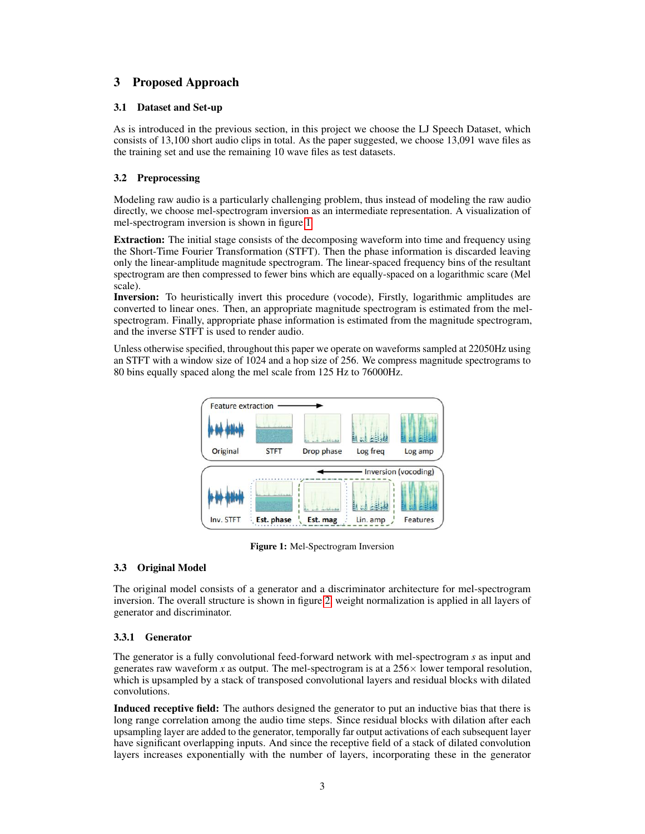# 3 Proposed Approach

# 3.1 Dataset and Set-up

As is introduced in the previous section, in this project we choose the LJ Speech Dataset, which consists of 13,100 short audio clips in total. As the paper suggested, we choose 13,091 wave files as the training set and use the remaining 10 wave files as test datasets.

# 3.2 Preprocessing

Modeling raw audio is a particularly challenging problem, thus instead of modeling the raw audio directly, we choose mel-spectrogram inversion as an intermediate representation. A visualization of mel-spectrogram inversion is shown in figure [1](#page-2-0)

Extraction: The initial stage consists of the decomposing waveform into time and frequency using the Short-Time Fourier Transformation (STFT). Then the phase information is discarded leaving only the linear-amplitude magnitude spectrogram. The linear-spaced frequency bins of the resultant spectrogram are then compressed to fewer bins which are equally-spaced on a logarithmic scare (Mel scale).

Inversion: To heuristically invert this procedure (vocode), Firstly, logarithmic amplitudes are converted to linear ones. Then, an appropriate magnitude spectrogram is estimated from the melspectrogram. Finally, appropriate phase information is estimated from the magnitude spectrogram, and the inverse STFT is used to render audio.

<span id="page-2-0"></span>Unless otherwise specified, throughout this paper we operate on waveforms sampled at 22050Hz using an STFT with a window size of 1024 and a hop size of 256. We compress magnitude spectrograms to 80 bins equally spaced along the mel scale from 125 Hz to 76000Hz.



Figure 1: Mel-Spectrogram Inversion

# 3.3 Original Model

The original model consists of a generator and a discriminator architecture for mel-spectrogram inversion. The overall structure is shown in figure [2,](#page-3-0) weight normalization is applied in all layers of generator and discriminator.

# 3.3.1 Generator

The generator is a fully convolutional feed-forward network with mel-spectrogram *s* as input and generates raw waveform *x* as output. The mel-spectrogram is at a  $256 \times$  lower temporal resolution, which is upsampled by a stack of transposed convolutional layers and residual blocks with dilated convolutions.

Induced receptive field: The authors designed the generator to put an inductive bias that there is long range correlation among the audio time steps. Since residual blocks with dilation after each upsampling layer are added to the generator, temporally far output activations of each subsequent layer have significant overlapping inputs. And since the receptive field of a stack of dilated convolution layers increases exponentially with the number of layers, incorporating these in the generator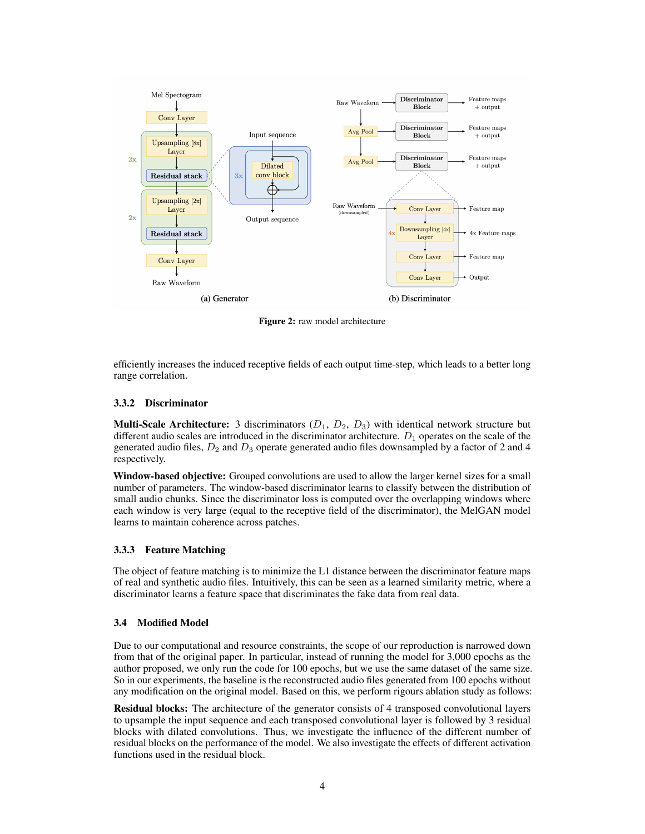<span id="page-3-0"></span>

Figure 2: raw model architecture

efficiently increases the induced receptive fields of each output time-step, which leads to a better long range correlation.

### 3.3.2 Discriminator

**Multi-Scale Architecture:** 3 discriminators  $(D_1, D_2, D_3)$  with identical network structure but different audio scales are introduced in the discriminator architecture.  $D_1$  operates on the scale of the generated audio files,  $D_2$  and  $D_3$  operate generated audio files downsampled by a factor of 2 and 4 respectively.

Window-based objective: Grouped convolutions are used to allow the larger kernel sizes for a small number of parameters. The window-based discriminator learns to classify between the distribution of small audio chunks. Since the discriminator loss is computed over the overlapping windows where each window is very large (equal to the receptive field of the discriminator), the MelGAN model learns to maintain coherence across patches.

### 3.3.3 Feature Matching

The object of feature matching is to minimize the L1 distance between the discriminator feature maps of real and synthetic audio files. Intuitively, this can be seen as a learned similarity metric, where a discriminator learns a feature space that discriminates the fake data from real data.

### 3.4 Modified Model

Due to our computational and resource constraints, the scope of our reproduction is narrowed down from that of the original paper. In particular, instead of running the model for 3,000 epochs as the author proposed, we only run the code for 100 epochs, but we use the same dataset of the same size. So in our experiments, the baseline is the reconstructed audio files generated from 100 epochs without any modification on the original model. Based on this, we perform rigours ablation study as follows:

Residual blocks: The architecture of the generator consists of 4 transposed convolutional layers to upsample the input sequence and each transposed convolutional layer is followed by 3 residual blocks with dilated convolutions. Thus, we investigate the influence of the different number of residual blocks on the performance of the model. We also investigate the effects of different activation functions used in the residual block.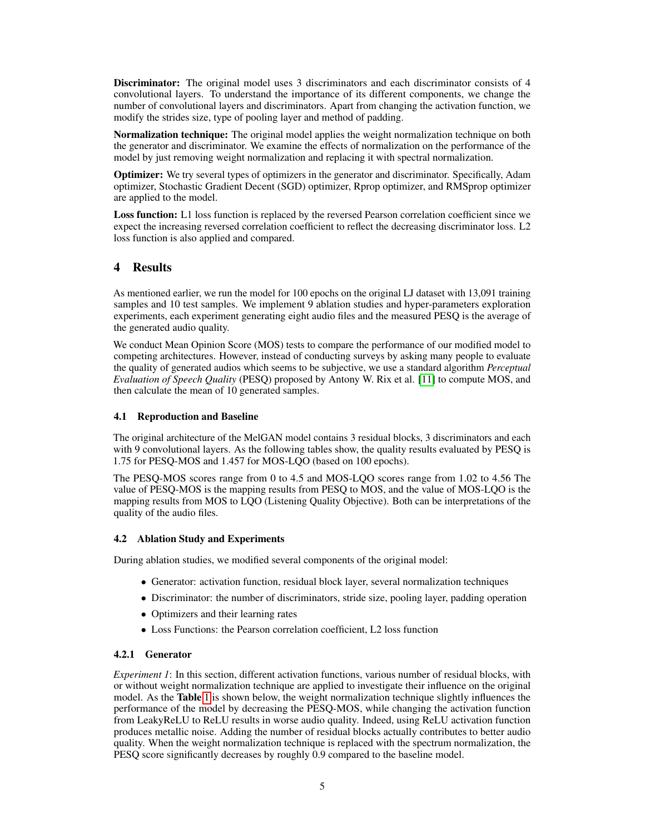**Discriminator:** The original model uses 3 discriminators and each discriminator consists of 4 convolutional layers. To understand the importance of its different components, we change the number of convolutional layers and discriminators. Apart from changing the activation function, we modify the strides size, type of pooling layer and method of padding.

Normalization technique: The original model applies the weight normalization technique on both the generator and discriminator. We examine the effects of normalization on the performance of the model by just removing weight normalization and replacing it with spectral normalization.

Optimizer: We try several types of optimizers in the generator and discriminator. Specifically, Adam optimizer, Stochastic Gradient Decent (SGD) optimizer, Rprop optimizer, and RMSprop optimizer are applied to the model.

Loss function: L1 loss function is replaced by the reversed Pearson correlation coefficient since we expect the increasing reversed correlation coefficient to reflect the decreasing discriminator loss. L2 loss function is also applied and compared.

# 4 Results

As mentioned earlier, we run the model for 100 epochs on the original LJ dataset with 13,091 training samples and 10 test samples. We implement 9 ablation studies and hyper-parameters exploration experiments, each experiment generating eight audio files and the measured PESQ is the average of the generated audio quality.

We conduct Mean Opinion Score (MOS) tests to compare the performance of our modified model to competing architectures. However, instead of conducting surveys by asking many people to evaluate the quality of generated audios which seems to be subjective, we use a standard algorithm *Perceptual Evaluation of Speech Quality* (PESQ) proposed by Antony W. Rix et al. [\[11\]](#page-8-10) to compute MOS, and then calculate the mean of 10 generated samples.

# 4.1 Reproduction and Baseline

The original architecture of the MelGAN model contains 3 residual blocks, 3 discriminators and each with 9 convolutional layers. As the following tables show, the quality results evaluated by PESQ is 1.75 for PESQ-MOS and 1.457 for MOS-LQO (based on 100 epochs).

The PESQ-MOS scores range from 0 to 4.5 and MOS-LQO scores range from 1.02 to 4.56 The value of PESQ-MOS is the mapping results from PESQ to MOS, and the value of MOS-LQO is the mapping results from MOS to LQO (Listening Quality Objective). Both can be interpretations of the quality of the audio files.

### 4.2 Ablation Study and Experiments

During ablation studies, we modified several components of the original model:

- Generator: activation function, residual block layer, several normalization techniques
- Discriminator: the number of discriminators, stride size, pooling layer, padding operation
- Optimizers and their learning rates
- Loss Functions: the Pearson correlation coefficient, L2 loss function

# 4.2.1 Generator

*Experiment 1*: In this section, different activation functions, various number of residual blocks, with or without weight normalization technique are applied to investigate their influence on the original model. As the **Table** [1](#page-5-0) is shown below, the weight normalization technique slightly influences the performance of the model by decreasing the PESQ-MOS, while changing the activation function from LeakyReLU to ReLU results in worse audio quality. Indeed, using ReLU activation function produces metallic noise. Adding the number of residual blocks actually contributes to better audio quality. When the weight normalization technique is replaced with the spectrum normalization, the PESQ score significantly decreases by roughly 0.9 compared to the baseline model.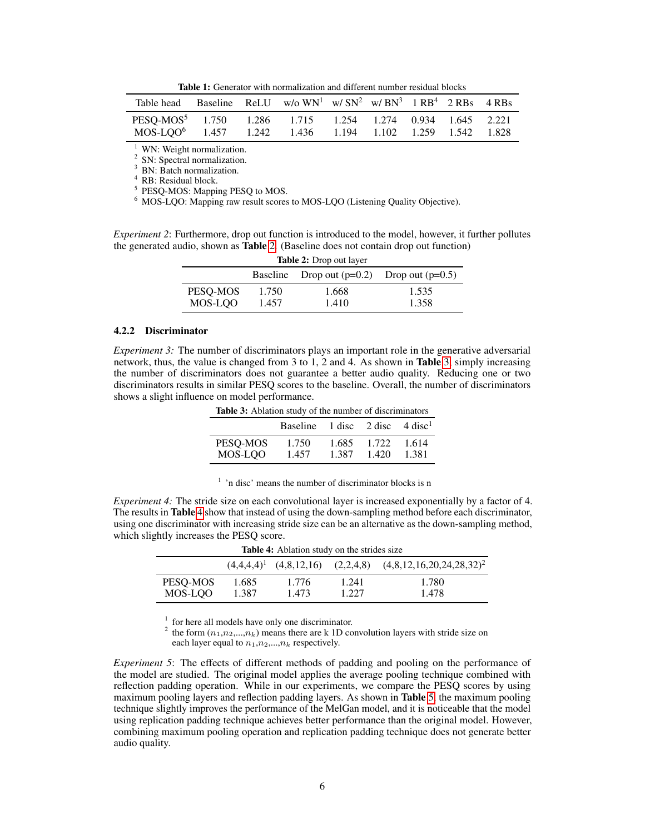Table 1: Generator with normalization and different number residual blocks

<span id="page-5-0"></span>

| Table head                                                                                                                                    |  | Baseline ReLU w/o $WN^1$ w/ $SN^2$ w/ $BN^3$ 1 $RB^4$ 2 RBs 4 RBs |  |  |  |
|-----------------------------------------------------------------------------------------------------------------------------------------------|--|-------------------------------------------------------------------|--|--|--|
| PESO-MOS <sup>5</sup> 1.750 1.286 1.715 1.254 1.274 0.934 1.645 2.221<br>MOS-LOO <sup>6</sup> 1.457 1.242 1.436 1.194 1.102 1.259 1.542 1.828 |  |                                                                   |  |  |  |

 $1$  WN: Weight normalization.

2 SN: Spectral normalization. <sup>3</sup> BN: Batch normalization.

<sup>4</sup> RB: Residual block.

<sup>5</sup> PESQ-MOS: Mapping PESQ to MOS.

<sup>6</sup> MOS-LQO: Mapping raw result scores to MOS-LQO (Listening Quality Objective).

<span id="page-5-1"></span>*Experiment 2*: Furthermore, drop out function is introduced to the model, however, it further pollutes the generated audio, shown as Table [2.](#page-5-1) (Baseline does not contain drop out function)

| <b>Table 2:</b> Drop out layer |       |                             |                    |  |  |  |  |
|--------------------------------|-------|-----------------------------|--------------------|--|--|--|--|
|                                |       | Baseline Drop out $(p=0.2)$ | Drop out $(p=0.5)$ |  |  |  |  |
| PESO-MOS                       | 1.750 | 1.668                       | 1.535              |  |  |  |  |
| MOS-LOO                        | 1.457 | 1.410                       | 1.358              |  |  |  |  |

### 4.2.2 Discriminator

<span id="page-5-2"></span>*Experiment 3:* The number of discriminators plays an important role in the generative adversarial network, thus, the value is changed from 3 to 1, 2 and 4. As shown in Table [3,](#page-5-2) simply increasing the number of discriminators does not guarantee a better audio quality. Reducing one or two discriminators results in similar PESQ scores to the baseline. Overall, the number of discriminators shows a slight influence on model performance.

|          | Baseline $1 \text{ disc}$ $2 \text{ disc}$ $4 \text{ disc}^1$ |       |       |       |
|----------|---------------------------------------------------------------|-------|-------|-------|
| PESQ-MOS | 1.750                                                         | 1.685 | 1.722 | 1.614 |
| MOS-LOO  | 1.457                                                         | 1.387 | 1.420 | 1.381 |

Table 3: Ablation study of the number of discriminators

<sup>1</sup> 'n disc' means the number of discriminator blocks is n

<span id="page-5-3"></span>*Experiment 4:* The stride size on each convolutional layer is increased exponentially by a factor of 4. The results in Table [4](#page-5-3) show that instead of using the down-sampling method before each discriminator, using one discriminator with increasing stride size can be an alternative as the down-sampling method, which slightly increases the PESQ score.

| <b>Rapic 4.</b> Abiation study on the strides size |                |                |                |                                                                     |  |  |  |  |
|----------------------------------------------------|----------------|----------------|----------------|---------------------------------------------------------------------|--|--|--|--|
|                                                    |                |                |                | $(4,4,4,4)^1$ $(4,8,12,16)$ $(2,2,4,8)$ $(4,8,12,16,20,24,28,32)^2$ |  |  |  |  |
| PESO-MOS<br>MOS-LOO                                | 1.685<br>1.387 | 1.776<br>1.473 | 1.241<br>1.227 | 1.780<br>1.478                                                      |  |  |  |  |
|                                                    |                |                |                |                                                                     |  |  |  |  |

Table 4: Ablation study on the strides size

<sup>1</sup> for here all models have only one discriminator.

<sup>2</sup> the form  $(n_1, n_2, ..., n_k)$  means there are k 1D convolution layers with stride size on each layer equal to  $n_1, n_2, \ldots, n_k$  respectively.

*Experiment 5*: The effects of different methods of padding and pooling on the performance of the model are studied. The original model applies the average pooling technique combined with reflection padding operation. While in our experiments, we compare the PESQ scores by using maximum pooling layers and reflection padding layers. As shown in **Table** [5,](#page-6-0) the maximum pooling technique slightly improves the performance of the MelGan model, and it is noticeable that the model using replication padding technique achieves better performance than the original model. However, combining maximum pooling operation and replication padding technique does not generate better audio quality.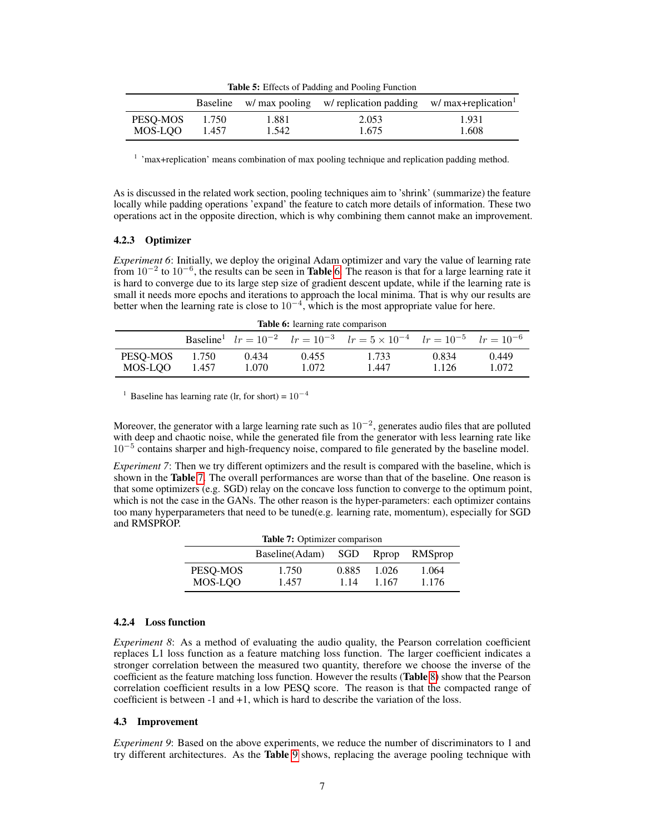Table 5: Effects of Padding and Pooling Function

<span id="page-6-0"></span>

|          |       |       | Baseline w/ max pooling w/ replication padding w/ max+replication |       |
|----------|-------|-------|-------------------------------------------------------------------|-------|
| PESO-MOS | 1.750 | 1.881 | 2.053                                                             | 1.931 |
| MOS-LOO  | 1.457 | 1.542 | 1.675                                                             | 1.608 |

<sup>1</sup> 'max+replication' means combination of max pooling technique and replication padding method.

As is discussed in the related work section, pooling techniques aim to 'shrink' (summarize) the feature locally while padding operations 'expand' the feature to catch more details of information. These two operations act in the opposite direction, which is why combining them cannot make an improvement.

### 4.2.3 Optimizer

*Experiment 6*: Initially, we deploy the original Adam optimizer and vary the value of learning rate from  $10^{-2}$  to  $10^{-6}$ , the results can be seen in **Table** [6.](#page-6-1) The reason is that for a large learning rate it is hard to converge due to its large step size of gradient descent update, while if the learning rate is small it needs more epochs and iterations to approach the local minima. That is why our results are better when the learning rate is close to  $10^{-4}$ , which is the most appropriate value for here.

<span id="page-6-1"></span>

| <b>Table 6:</b> learning rate comparison |       |       |       |                                                                                                           |       |       |  |  |
|------------------------------------------|-------|-------|-------|-----------------------------------------------------------------------------------------------------------|-------|-------|--|--|
|                                          |       |       |       | Baseline <sup>1</sup> $lr = 10^{-2}$ $lr = 10^{-3}$ $lr = 5 \times 10^{-4}$ $lr = 10^{-5}$ $lr = 10^{-6}$ |       |       |  |  |
| PESO-MOS                                 | 1.750 | 0.434 | 0.455 | 1.733                                                                                                     | 0.834 | 0.449 |  |  |

MOS-LQO 1.457 1.070 1.072 1.447 1.126 1.072

<sup>1</sup> Baseline has learning rate (lr, for short) =  $10^{-4}$ 

Moreover, the generator with a large learning rate such as  $10^{-2}$ , generates audio files that are polluted with deep and chaotic noise, while the generated file from the generator with less learning rate like 10<sup>−</sup><sup>5</sup> contains sharper and high-frequency noise, compared to file generated by the baseline model.

<span id="page-6-2"></span>*Experiment 7*: Then we try different optimizers and the result is compared with the baseline, which is shown in the Table [7.](#page-6-2) The overall performances are worse than that of the baseline. One reason is that some optimizers (e.g. SGD) relay on the concave loss function to converge to the optimum point, which is not the case in the GANs. The other reason is the hyper-parameters: each optimizer contains too many hyperparameters that need to be tuned(e.g. learning rate, momentum), especially for SGD and RMSPROP.

| <b>Table 7:</b> Optimizer comparison |                 |       |         |         |  |  |  |  |
|--------------------------------------|-----------------|-------|---------|---------|--|--|--|--|
|                                      | Baseline (Adam) | SGD   | Rprop   | RMSprop |  |  |  |  |
| PESO-MOS                             | 1.750           | 0.885 | 1.026   | 1.064   |  |  |  |  |
| MOS-LOO                              | 1.457           | 1.14  | 1 1 6 7 | 1.176   |  |  |  |  |

#### 4.2.4 Loss function

*Experiment 8*: As a method of evaluating the audio quality, the Pearson correlation coefficient replaces L1 loss function as a feature matching loss function. The larger coefficient indicates a stronger correlation between the measured two quantity, therefore we choose the inverse of the coefficient as the feature matching loss function. However the results (Table [8\)](#page-7-0) show that the Pearson correlation coefficient results in a low PESQ score. The reason is that the compacted range of coefficient is between -1 and +1, which is hard to describe the variation of the loss.

### 4.3 Improvement

*Experiment 9*: Based on the above experiments, we reduce the number of discriminators to 1 and try different architectures. As the Table [9](#page-7-1) shows, replacing the average pooling technique with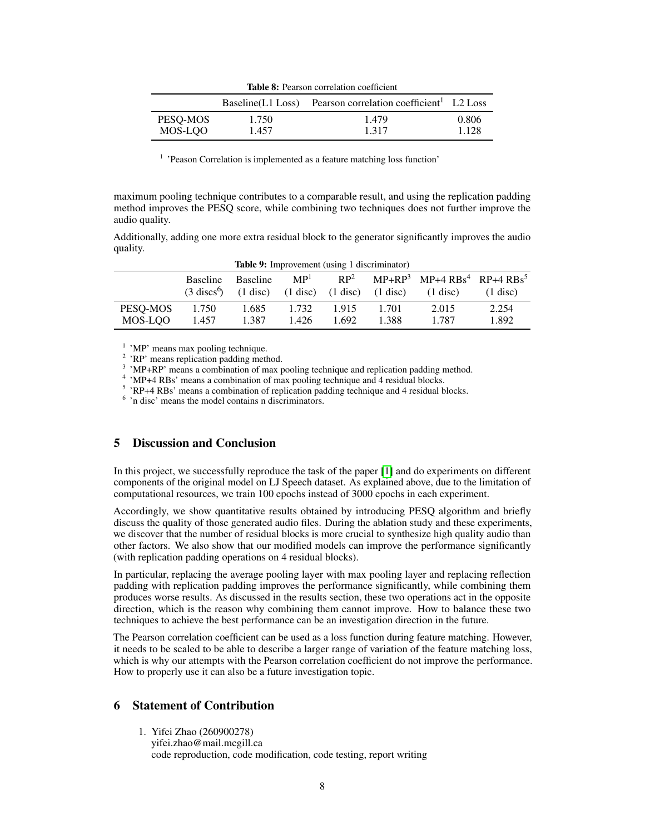<span id="page-7-0"></span>

|          |       | Baseline(L1 Loss) Pearson correlation coefficient <sup>1</sup> L2 Loss |       |
|----------|-------|------------------------------------------------------------------------|-------|
| PESO-MOS | 1.750 | 1.479                                                                  | 0.806 |
| MOS-LOO  | 1.457 | 1.317                                                                  | 1.128 |

<sup>1</sup> 'Peason Correlation is implemented as a feature matching loss function'

maximum pooling technique contributes to a comparable result, and using the replication padding method improves the PESQ score, while combining two techniques does not further improve the audio quality.

Additionally, adding one more extra residual block to the generator significantly improves the audio quality.

<span id="page-7-1"></span>

| <b>Table 9:</b> Improvement (using 1 discriminator) |                 |                                          |                 |       |                                                          |                                                                      |                    |
|-----------------------------------------------------|-----------------|------------------------------------------|-----------------|-------|----------------------------------------------------------|----------------------------------------------------------------------|--------------------|
|                                                     | <b>Baseline</b> | <b>Baseline</b>                          | MP <sup>1</sup> |       |                                                          | $RP2$ MP+RP <sup>3</sup> MP+4 RBs <sup>4</sup> RP+4 RBs <sup>5</sup> |                    |
|                                                     |                 | $(3 \text{ discs}^6)$ $(1 \text{ disc})$ |                 |       | $(1 \text{ disc})$ $(1 \text{ disc})$ $(1 \text{ disc})$ | $(1 \text{ disc})$                                                   | $(1 \text{ disc})$ |
| PESO-MOS                                            | 1.750           | 1.685                                    | 1.732           | 1.915 | 1.701                                                    | 2.015                                                                | 2.254              |
| MOS-LOO                                             | 1.457           | 1.387                                    | 1.426           | 1.692 | 1.388                                                    | 1.787                                                                | 1.892              |

<sup>1</sup> 'MP' means max pooling technique.

<sup>2</sup> 'RP' means replication padding method.

<sup>3</sup> 'MP+RP' means a combination of max pooling technique and replication padding method.

<sup>4</sup> 'MP+4 RBs' means a combination of max pooling technique and 4 residual blocks.

<sup>5</sup> 'RP+4 RBs' means a combination of replication padding technique and 4 residual blocks.

6 'n disc' means the model contains n discriminators.

# 5 Discussion and Conclusion

In this project, we successfully reproduce the task of the paper [\[1\]](#page-8-0) and do experiments on different components of the original model on LJ Speech dataset. As explained above, due to the limitation of computational resources, we train 100 epochs instead of 3000 epochs in each experiment.

Accordingly, we show quantitative results obtained by introducing PESQ algorithm and briefly discuss the quality of those generated audio files. During the ablation study and these experiments, we discover that the number of residual blocks is more crucial to synthesize high quality audio than other factors. We also show that our modified models can improve the performance significantly (with replication padding operations on 4 residual blocks).

In particular, replacing the average pooling layer with max pooling layer and replacing reflection padding with replication padding improves the performance significantly, while combining them produces worse results. As discussed in the results section, these two operations act in the opposite direction, which is the reason why combining them cannot improve. How to balance these two techniques to achieve the best performance can be an investigation direction in the future.

The Pearson correlation coefficient can be used as a loss function during feature matching. However, it needs to be scaled to be able to describe a larger range of variation of the feature matching loss, which is why our attempts with the Pearson correlation coefficient do not improve the performance. How to properly use it can also be a future investigation topic.

# 6 Statement of Contribution

1. Yifei Zhao (260900278) yifei.zhao@mail.mcgill.ca

code reproduction, code modification, code testing, report writing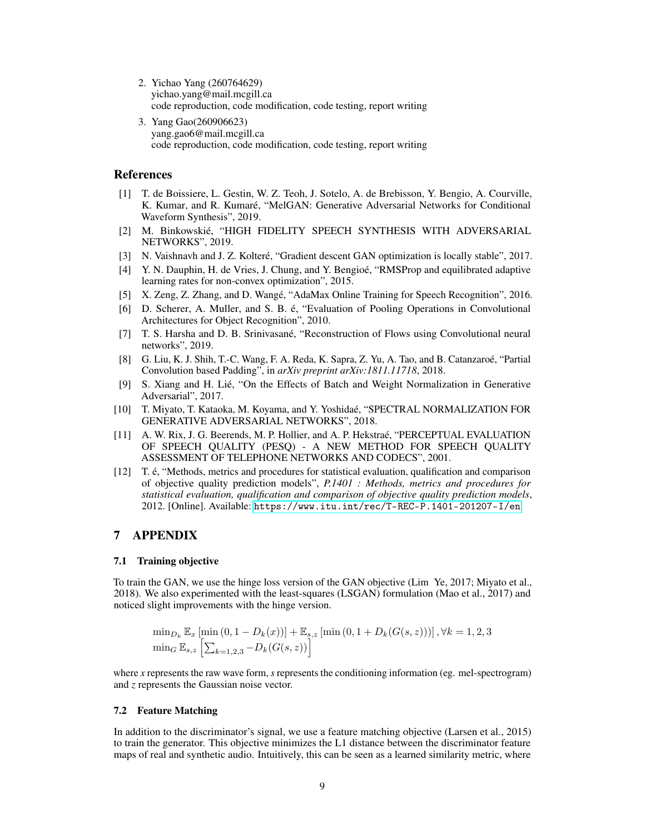- 2. Yichao Yang (260764629) yichao.yang@mail.mcgill.ca code reproduction, code modification, code testing, report writing
- 3. Yang Gao(260906623) yang.gao6@mail.mcgill.ca code reproduction, code modification, code testing, report writing

### References

- <span id="page-8-0"></span>[1] T. de Boissiere, L. Gestin, W. Z. Teoh, J. Sotelo, A. de Brebisson, Y. Bengio, A. Courville, K. Kumar, and R. Kumaré, "MelGAN: Generative Adversarial Networks for Conditional Waveform Synthesis", 2019.
- <span id="page-8-1"></span>[2] M. Binkowskié, "HIGH FIDELITY SPEECH SYNTHESIS WITH ADVERSARIAL NETWORKS", 2019.
- <span id="page-8-2"></span>[3] N. Vaishnavh and J. Z. Kolteré, "Gradient descent GAN optimization is locally stable", 2017.
- <span id="page-8-3"></span>[4] Y. N. Dauphin, H. de Vries, J. Chung, and Y. Bengioé, "RMSProp and equilibrated adaptive learning rates for non-convex optimization", 2015.
- <span id="page-8-4"></span>[5] X. Zeng, Z. Zhang, and D. Wangé, "AdaMax Online Training for Speech Recognition", 2016.
- <span id="page-8-5"></span>[6] D. Scherer, A. Muller, and S. B. é, "Evaluation of Pooling Operations in Convolutional Architectures for Object Recognition", 2010.
- <span id="page-8-6"></span>[7] T. S. Harsha and D. B. Srinivasané, "Reconstruction of Flows using Convolutional neural networks", 2019.
- <span id="page-8-7"></span>[8] G. Liu, K. J. Shih, T.-C. Wang, F. A. Reda, K. Sapra, Z. Yu, A. Tao, and B. Catanzaroé, "Partial Convolution based Padding", in *arXiv preprint arXiv:1811.11718*, 2018.
- <span id="page-8-8"></span>[9] S. Xiang and H. Lié, "On the Effects of Batch and Weight Normalization in Generative Adversarial", 2017.
- <span id="page-8-9"></span>[10] T. Miyato, T. Kataoka, M. Koyama, and Y. Yoshidaé, "SPECTRAL NORMALIZATION FOR GENERATIVE ADVERSARIAL NETWORKS", 2018.
- <span id="page-8-10"></span>[11] A. W. Rix, J. G. Beerends, M. P. Hollier, and A. P. Hekstraé, "PERCEPTUAL EVALUATION OF SPEECH QUALITY (PESQ) - A NEW METHOD FOR SPEECH QUALITY ASSESSMENT OF TELEPHONE NETWORKS AND CODECS", 2001.
- <span id="page-8-11"></span>[12] T. é, "Methods, metrics and procedures for statistical evaluation, qualification and comparison of objective quality prediction models", *P.1401 : Methods, metrics and procedures for statistical evaluation, qualification and comparison of objective quality prediction models*, 2012. [Online]. Available: <https://www.itu.int/rec/T-REC-P.1401-201207-I/en>.

# 7 APPENDIX

### 7.1 Training objective

To train the GAN, we use the hinge loss version of the GAN objective (Lim Ye, 2017; Miyato et al., 2018). We also experimented with the least-squares (LSGAN) formulation (Mao et al., 2017) and noticed slight improvements with the hinge version.

$$
\min_{D_k} \mathbb{E}_x \left[ \min(0, 1 - D_k(x)) \right] + \mathbb{E}_{s,z} \left[ \min(0, 1 + D_k(G(s, z))) \right], \forall k = 1, 2, 3
$$
  

$$
\min_G \mathbb{E}_{s,z} \left[ \sum_{k=1,2,3} -D_k(G(s, z)) \right]
$$

where *x* represents the raw wave form, *s* represents the conditioning information (eg. mel-spectrogram) and *z* represents the Gaussian noise vector.

### 7.2 Feature Matching

In addition to the discriminator's signal, we use a feature matching objective (Larsen et al., 2015) to train the generator. This objective minimizes the L1 distance between the discriminator feature maps of real and synthetic audio. Intuitively, this can be seen as a learned similarity metric, where